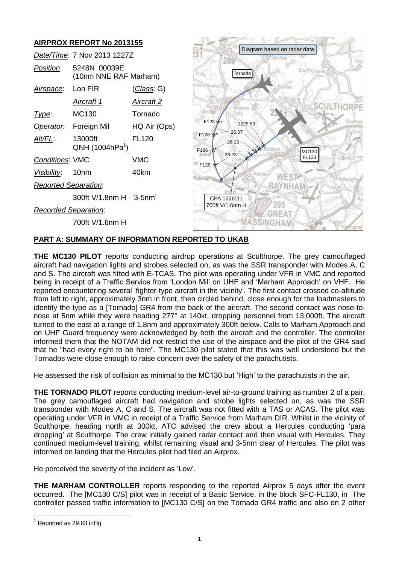#### **AIRPROX REPORT No 2013155** Diagram based on radar data *Date/Time*: 7 Nov 2013 1227Z 289 *Position*: 5248N 00039E South Creake Tornado(10nm NNE RAF Marham) ham Newt *Airspace*: Lon FIR (*Class*: G) *Aircraft 1 Aircraft 2* **SCULTHORPE** Bircham rin<br>Tofts *Type*: MC130 Tornado F128 1225:59 *Operator*: Foreign Mil HQ Air (Ops) 26:07  $F128$ *Alt/FL*: 13000ft FL120 26:15  $QNH(1004hPa^1)$ F126 MC130 26:23 FL133 *Conditions*: VMC VMC F126 *Visibility*: 10nm 40km **WES7** *Reported Separation*: RAYNHAM 300ft V/1.8nm H '3-5nm' CPA 1226:31 700ft V/1.6nm H 295 *Recorded Separation*: **GREAT MASSINGHAM** 700ft V/1.6nm H

# **PART A: SUMMARY OF INFORMATION REPORTED TO UKAB**

**THE MC130 PILOT** reports conducting airdrop operations at Sculthorpe. The grey camouflaged aircraft had navigation lights and strobes selected on, as was the SSR transponder with Modes A, C and S. The aircraft was fitted with E-TCAS. The pilot was operating under VFR in VMC and reported being in receipt of a Traffic Service from 'London Mil' on UHF and 'Marham Approach' on VHF. He reported encountering several 'fighter-type aircraft in the vicinity'. The first contact crossed co-altitude from left to right, approximately 3nm in front, then circled behind, close enough for the loadmasters to identify the type as a [Tornado] GR4 from the back of the aircraft. The second contact was nose-tonose at 5nm while they were heading 277° at 140kt, dropping personnel from 13,000ft. The aircraft turned to the east at a range of 1.8nm and approximately 300ft below. Calls to Marham Approach and on UHF Guard frequency were acknowledged by both the aircraft and the controller. The controller informed them that the NOTAM did not restrict the use of the airspace and the pilot of the GR4 said that he "had every right to be here". The MC130 pilot stated that this was well understood but the Tornados were close enough to raise concern over the safety of the parachutists.

He assessed the risk of collision as minimal to the MC130 but 'High' to the parachutists in the air.

**THE TORNADO PILOT** reports conducting medium-level air-to-ground training as number 2 of a pair. The grey camouflaged aircraft had navigation and strobe lights selected on, as was the SSR transponder with Modes A, C and S. The aircraft was not fitted with a TAS or ACAS. The pilot was operating under VFR in VMC in receipt of a Traffic Service from Marham DIR. Whilst in the vicinity of Sculthorpe, heading north at 300kt, ATC advised the crew about a Hercules conducting 'para dropping' at Sculthorpe. The crew initially gained radar contact and then visual with Hercules. They continued medium-level training, whilst remaining visual and 3-5nm clear of Hercules. The pilot was informed on landing that the Hercules pilot had filed an Airprox.

He perceived the severity of the incident as 'Low'.

**THE MARHAM CONTROLLER** reports responding to the reported Airprox 5 days after the event occurred. The [MC130 C/S] pilot was in receipt of a Basic Service, in the block SFC-FL130, in The controller passed traffic information to [MC130 C/S] on the Tornado GR4 traffic and also on 2 other

 $\overline{a}$ 

 $<sup>1</sup>$  Reported as 29.63 in Hq</sup>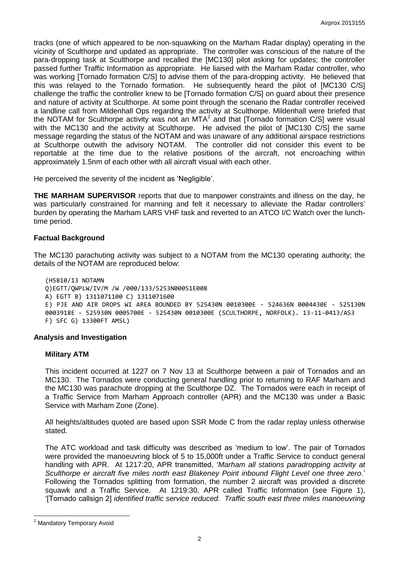tracks (one of which appeared to be non-squawking on the Marham Radar display) operating in the vicinity of Sculthorpe and updated as appropriate. The controller was conscious of the nature of the para-dropping task at Sculthorpe and recalled the [MC130] pilot asking for updates; the controller passed further Traffic Information as appropriate. He liaised with the Marham Radar controller, who was working [Tornado formation C/S] to advise them of the para-dropping activity. He believed that this was relayed to the Tornado formation. He subsequently heard the pilot of [MC130 C/S] challenge the traffic the controller knew to be [Tornado formation C/S] on guard about their presence and nature of activity at Sculthorpe. At some point through the scenario the Radar controller received a landline call from Mildenhall Ops regarding the activity at Sculthorpe. Mildenhall were briefed that the NOTAM for Sculthorpe activity was not an MTA<sup>2</sup> and that [Tornado formation C/S] were visual with the MC130 and the activity at Sculthorpe. He advised the pilot of [MC130 C/S] the same message regarding the status of the NOTAM and was unaware of any additional airspace restrictions at Sculthorpe outwith the advisory NOTAM. The controller did not consider this event to be reportable at the time due to the relative positions of the aircraft, not encroaching within approximately 1.5nm of each other with all aircraft visual with each other.

He perceived the severity of the incident as 'Negligible'.

**THE MARHAM SUPERVISOR** reports that due to manpower constraints and illness on the day, he was particularly constrained for manning and felt it necessary to alleviate the Radar controllers' burden by operating the Marham LARS VHF task and reverted to an ATCO I/C Watch over the lunchtime period.

## **Factual Background**

The MC130 parachuting activity was subject to a NOTAM from the MC130 operating authority; the details of the NOTAM are reproduced below:

(H5810/13 NOTAMN Q)EGTT/QWPLW/IV/M /W /000/133/5253N00051E008 A) EGTT B) 1311071100 C) 1311071600 E) PJE AND AIR DROPS WI AREA BOUNDED BY 525430N 0010300E - 524636N 0004430E - 525130N 0003918E - 525930N 0005700E - 525430N 0010300E (SCULTHORPE, NORFOLK). 13-11-0413/AS3 F) SFC G) 13300FT AMSL)

#### **Analysis and Investigation**

#### **Military ATM**

This incident occurred at 1227 on 7 Nov 13 at Sculthorpe between a pair of Tornados and an MC130. The Tornados were conducting general handling prior to returning to RAF Marham and the MC130 was parachute dropping at the Sculthorpe DZ. The Tornados were each in receipt of a Traffic Service from Marham Approach controller (APR) and the MC130 was under a Basic Service with Marham Zone (Zone).

All heights/altitudes quoted are based upon SSR Mode C from the radar replay unless otherwise stated.

The ATC workload and task difficulty was described as 'medium to low'. The pair of Tornados were provided the manoeuvring block of 5 to 15,000ft under a Traffic Service to conduct general handling with APR. At 1217:20, APR transmitted, '*Marham all stations paradropping activity at Sculthorpe er aircraft five miles north east Blakeney Point inbound Flight Level one three zero*.' Following the Tornados splitting from formation, the number 2 aircraft was provided a discrete squawk and a Traffic Service. At 1219:30, APR called Traffic Information (see Figure 1), '[Tornado callsign 2] *identified traffic service reduced. Traffic south east three miles manoeuvring* 

 $\overline{a}$ 

<sup>&</sup>lt;sup>2</sup> Mandatory Temporary Avoid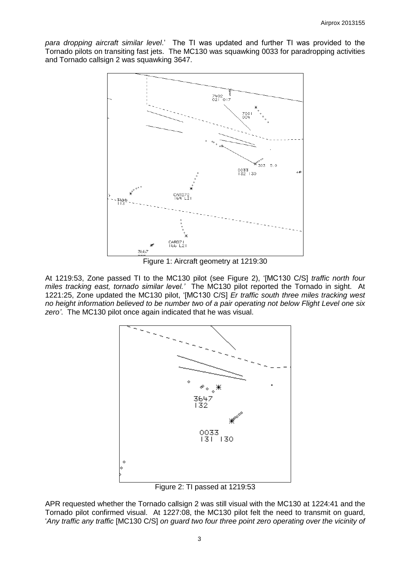*para dropping aircraft similar level*.' The TI was updated and further TI was provided to the Tornado pilots on transiting fast jets. The MC130 was squawking 0033 for paradropping activities and Tornado callsign 2 was squawking 3647.



Figure 1: Aircraft geometry at 1219:30

At 1219:53, Zone passed TI to the MC130 pilot (see Figure 2), '[MC130 C/S] *traffic north four miles tracking east, tornado similar level.'* The MC130 pilot reported the Tornado in sight. At 1221:25, Zone updated the MC130 pilot, '[MC130 C/S] *Er traffic south three miles tracking west no height information believed to be number two of a pair operating not below Flight Level one six zero'*.The MC130 pilot once again indicated that he was visual.



Figure 2: TI passed at 1219:53

APR requested whether the Tornado callsign 2 was still visual with the MC130 at 1224:41 and the Tornado pilot confirmed visual. At 1227:08, the MC130 pilot felt the need to transmit on guard, '*Any traffic any traffic* [MC130 C/S] *on guard two four three point zero operating over the vicinity of*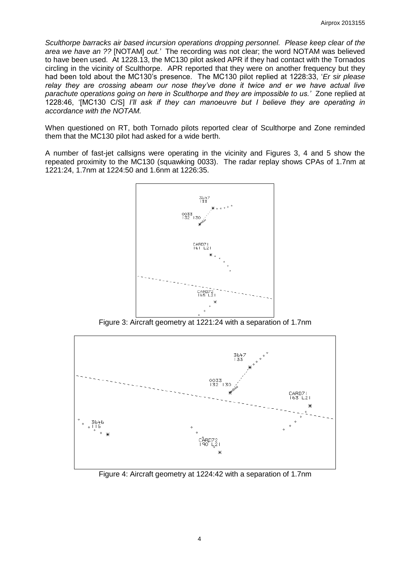*Sculthorpe barracks air based incursion operations dropping personnel. Please keep clear of the area we have an ??* [NOTAM] *out.'* The recording was not clear; the word NOTAM was believed to have been used.At 1228.13, the MC130 pilot asked APR if they had contact with the Tornados circling in the vicinity of Sculthorpe. APR reported that they were on another frequency but they had been told about the MC130's presence. The MC130 pilot replied at 1228:33, '*Er sir please relay they are crossing abeam our nose they've done it twice and er we have actual live parachute operations going on here in Sculthorpe and they are impossible to us.'* Zone replied at 1228:46, '[MC130 C/S] *I'll ask if they can manoeuvre but I believe they are operating in accordance with the NOTAM.*

When questioned on RT, both Tornado pilots reported clear of Sculthorpe and Zone reminded them that the MC130 pilot had asked for a wide berth.

A number of fast-jet callsigns were operating in the vicinity and Figures 3, 4 and 5 show the repeated proximity to the MC130 (squawking 0033). The radar replay shows CPAs of 1.7nm at 1221:24, 1.7nm at 1224:50 and 1.6nm at 1226:35.



Figure 3: Aircraft geometry at 1221:24 with a separation of 1.7nm



Figure 4: Aircraft geometry at 1224:42 with a separation of 1.7nm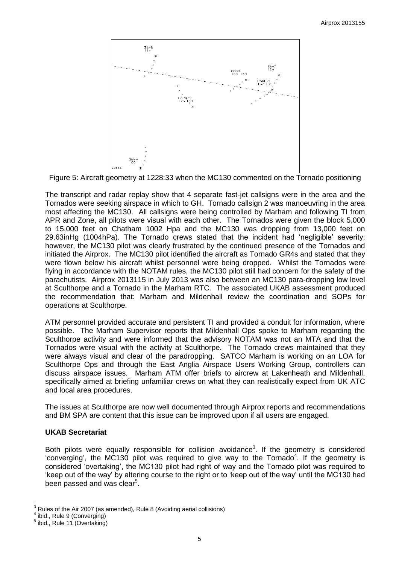

Figure 5: Aircraft geometry at 1228:33 when the MC130 commented on the Tornado positioning

The transcript and radar replay show that 4 separate fast-jet callsigns were in the area and the Tornados were seeking airspace in which to GH. Tornado callsign 2 was manoeuvring in the area most affecting the MC130. All callsigns were being controlled by Marham and following TI from APR and Zone, all pilots were visual with each other. The Tornados were given the block 5,000 to 15,000 feet on Chatham 1002 Hpa and the MC130 was dropping from 13,000 feet on 29.63inHg (1004hPa). The Tornado crews stated that the incident had 'negligible' severity; however, the MC130 pilot was clearly frustrated by the continued presence of the Tornados and initiated the Airprox. The MC130 pilot identified the aircraft as Tornado GR4s and stated that they were flown below his aircraft whilst personnel were being dropped. Whilst the Tornados were flying in accordance with the NOTAM rules, the MC130 pilot still had concern for the safety of the parachutists. Airprox 2013115 in July 2013 was also between an MC130 para-dropping low level at Sculthorpe and a Tornado in the Marham RTC. The associated UKAB assessment produced the recommendation that: Marham and Mildenhall review the coordination and SOPs for operations at Sculthorpe.

ATM personnel provided accurate and persistent TI and provided a conduit for information, where possible. The Marham Supervisor reports that Mildenhall Ops spoke to Marham regarding the Sculthorpe activity and were informed that the advisory NOTAM was not an MTA and that the Tornados were visual with the activity at Sculthorpe. The Tornado crews maintained that they were always visual and clear of the paradropping. SATCO Marham is working on an LOA for Sculthorpe Ops and through the East Anglia Airspace Users Working Group, controllers can discuss airspace issues. Marham ATM offer briefs to aircrew at Lakenheath and Mildenhall, specifically aimed at briefing unfamiliar crews on what they can realistically expect from UK ATC and local area procedures.

The issues at Sculthorpe are now well documented through Airprox reports and recommendations and BM SPA are content that this issue can be improved upon if all users are engaged.

## **UKAB Secretariat**

Both pilots were equally responsible for collision avoidance<sup>3</sup>. If the geometry is considered 'converging', the MC130 pilot was required to give way to the Tornado<sup>4</sup>. If the geometry is considered 'overtaking', the MC130 pilot had right of way and the Tornado pilot was required to 'keep out of the way' by altering course to the right or to 'keep out of the way' until the MC130 had been passed and was clear<sup>5</sup>.

 $\overline{a}$ <sup>3</sup> Rules of the Air 2007 (as amended), Rule 8 (Avoiding aerial collisions)

<sup>4</sup> ibid., Rule 9 (Converging)

 $<sup>5</sup>$  ibid., Rule 11 (Overtaking)</sup>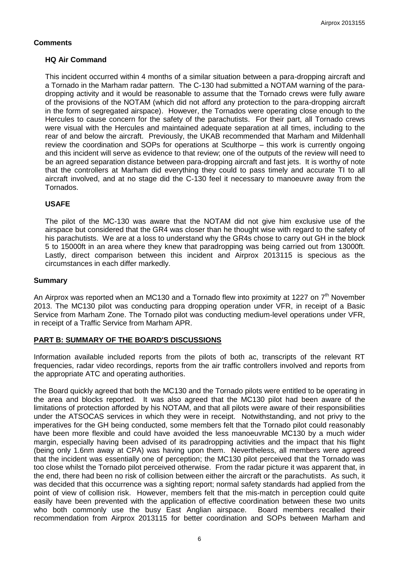## **Comments**

#### **HQ Air Command**

This incident occurred within 4 months of a similar situation between a para-dropping aircraft and a Tornado in the Marham radar pattern. The C-130 had submitted a NOTAM warning of the paradropping activity and it would be reasonable to assume that the Tornado crews were fully aware of the provisions of the NOTAM (which did not afford any protection to the para-dropping aircraft in the form of segregated airspace). However, the Tornados were operating close enough to the Hercules to cause concern for the safety of the parachutists. For their part, all Tornado crews were visual with the Hercules and maintained adequate separation at all times, including to the rear of and below the aircraft. Previously, the UKAB recommended that Marham and Mildenhall review the coordination and SOPs for operations at Sculthorpe – this work is currently ongoing and this incident will serve as evidence to that review; one of the outputs of the review will need to be an agreed separation distance between para-dropping aircraft and fast jets. It is worthy of note that the controllers at Marham did everything they could to pass timely and accurate TI to all aircraft involved, and at no stage did the C-130 feel it necessary to manoeuvre away from the Tornados.

## **USAFE**

The pilot of the MC-130 was aware that the NOTAM did not give him exclusive use of the airspace but considered that the GR4 was closer than he thought wise with regard to the safety of his parachutists. We are at a loss to understand why the GR4s chose to carry out GH in the block 5 to 15000ft in an area where they knew that paradropping was being carried out from 13000ft. Lastly, direct comparison between this incident and Airprox 2013115 is specious as the circumstances in each differ markedly.

#### **Summary**

An Airprox was reported when an MC130 and a Tornado flew into proximity at 1227 on 7<sup>th</sup> November 2013. The MC130 pilot was conducting para dropping operation under VFR, in receipt of a Basic Service from Marham Zone. The Tornado pilot was conducting medium-level operations under VFR, in receipt of a Traffic Service from Marham APR.

#### **PART B: SUMMARY OF THE BOARD'S DISCUSSIONS**

Information available included reports from the pilots of both ac, transcripts of the relevant RT frequencies, radar video recordings, reports from the air traffic controllers involved and reports from the appropriate ATC and operating authorities.

The Board quickly agreed that both the MC130 and the Tornado pilots were entitled to be operating in the area and blocks reported. It was also agreed that the MC130 pilot had been aware of the limitations of protection afforded by his NOTAM, and that all pilots were aware of their responsibilities under the ATSOCAS services in which they were in receipt. Notwithstanding, and not privy to the imperatives for the GH being conducted, some members felt that the Tornado pilot could reasonably have been more flexible and could have avoided the less manoeuvrable MC130 by a much wider margin, especially having been advised of its paradropping activities and the impact that his flight (being only 1.6nm away at CPA) was having upon them. Nevertheless, all members were agreed that the incident was essentially one of perception; the MC130 pilot perceived that the Tornado was too close whilst the Tornado pilot perceived otherwise. From the radar picture it was apparent that, in the end, there had been no risk of collision between either the aircraft or the parachutists. As such, it was decided that this occurrence was a sighting report; normal safety standards had applied from the point of view of collision risk. However, members felt that the mis-match in perception could quite easily have been prevented with the application of effective coordination between these two units who both commonly use the busy East Anglian airspace. Board members recalled their recommendation from Airprox 2013115 for better coordination and SOPs between Marham and